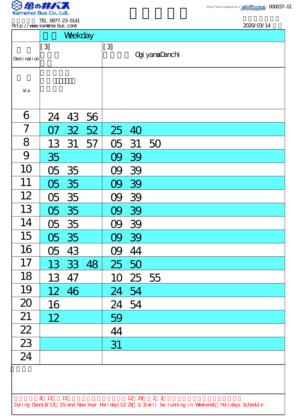

.

TEL 0977-23-0141

| http://www.kanenoi.bus.com/                                                                                                |                 |         |       |          |          | 2020/03/14            |  |  |  |
|----------------------------------------------------------------------------------------------------------------------------|-----------------|---------|-------|----------|----------|-----------------------|--|--|--|
|                                                                                                                            |                 | Weekday |       |          |          |                       |  |  |  |
|                                                                                                                            | $[3]$           |         |       | $[3]$    |          |                       |  |  |  |
| Desti nati on                                                                                                              |                 |         |       |          |          | <b>Ogi yamaDanchi</b> |  |  |  |
|                                                                                                                            |                 |         |       |          |          |                       |  |  |  |
|                                                                                                                            |                 |         |       |          |          |                       |  |  |  |
| Vi a                                                                                                                       |                 |         |       |          |          |                       |  |  |  |
|                                                                                                                            |                 |         |       |          |          |                       |  |  |  |
| 6                                                                                                                          | 24              |         | 43 56 |          |          |                       |  |  |  |
| $\overline{7}$                                                                                                             | 07              | 32      | 52    |          | 25 40    |                       |  |  |  |
| 8                                                                                                                          | 13              | 31      | 57    | 05       | 31       | 50                    |  |  |  |
| 9                                                                                                                          | 35              |         |       | 09       | 39       |                       |  |  |  |
| 10                                                                                                                         | 05              | 35      |       | 09       | 39       |                       |  |  |  |
| 11                                                                                                                         | 05              | 35      |       | OQ       | 39       |                       |  |  |  |
| 12                                                                                                                         | 05              | 35      |       | <b>y</b> | 39       |                       |  |  |  |
| 13                                                                                                                         |                 | 05 35   |       |          | 09 39    |                       |  |  |  |
| 14                                                                                                                         | 05              | 35      |       | 09       | 39       |                       |  |  |  |
| 15                                                                                                                         |                 | 05 35   |       |          | 09 39    |                       |  |  |  |
| 16                                                                                                                         | 05              | 43      |       | 09       | 44       |                       |  |  |  |
| 17                                                                                                                         |                 |         |       |          |          |                       |  |  |  |
|                                                                                                                            | 13              | 33      | 48    |          | 25 50    |                       |  |  |  |
| 18                                                                                                                         | 13              | 47      |       |          | 10 25 55 |                       |  |  |  |
| 19                                                                                                                         | 12 <sup>7</sup> | 46      |       | 24 54    |          |                       |  |  |  |
| 20                                                                                                                         | 16              |         |       |          | 24 54    |                       |  |  |  |
| 21                                                                                                                         | 12              |         |       | 59       |          |                       |  |  |  |
| 22                                                                                                                         |                 |         |       | 44       |          |                       |  |  |  |
| 23                                                                                                                         |                 |         |       | 31       |          |                       |  |  |  |
| 24                                                                                                                         |                 |         |       |          |          |                       |  |  |  |
|                                                                                                                            |                 |         |       |          |          |                       |  |  |  |
|                                                                                                                            |                 |         |       |          |          |                       |  |  |  |
|                                                                                                                            |                 |         |       |          |          |                       |  |  |  |
| 8 13 15<br>12 29 1 3<br>During Cbon(8/13 15) and New Year Holiday(12/29 1/3) will be running in Weekends Holidays Schedule |                 |         |       |          |          |                       |  |  |  |